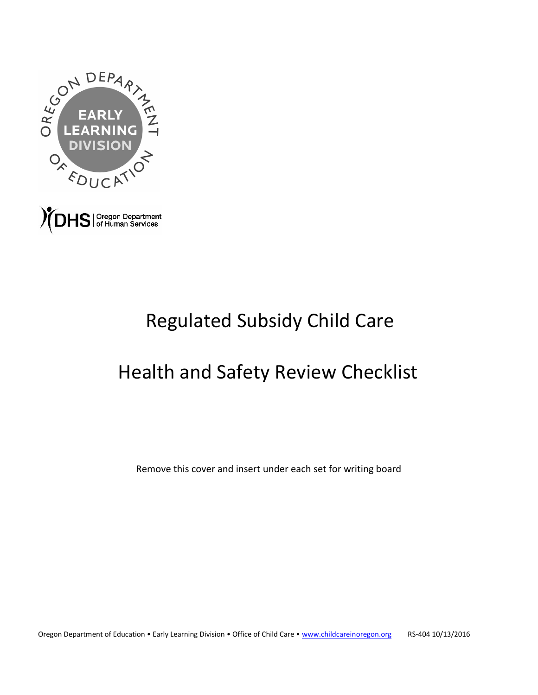

# Regulated Subsidy Child Care

# Health and Safety Review Checklist

Remove this cover and insert under each set for writing board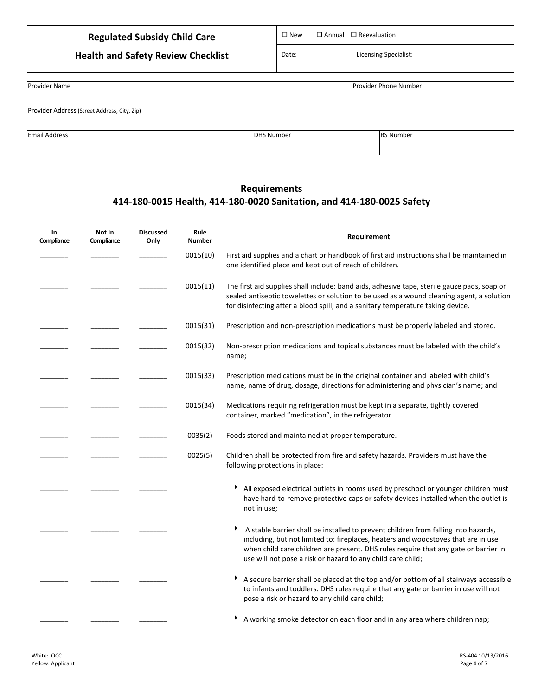| <b>Regulated Subsidy Child Care</b>          | $\square$ New<br>$\Box$ Annual $\Box$ Reevaluation |                              |  |
|----------------------------------------------|----------------------------------------------------|------------------------------|--|
| <b>Health and Safety Review Checklist</b>    | Date:                                              | <b>Licensing Specialist:</b> |  |
|                                              |                                                    |                              |  |
| <b>Provider Name</b>                         |                                                    | <b>Provider Phone Number</b> |  |
| Provider Address (Street Address, City, Zip) |                                                    |                              |  |
| <b>Email Address</b>                         | <b>DHS Number</b>                                  | <b>RS Number</b>             |  |

### **Requirements 414-180-0015 Health, 414-180-0020 Sanitation, and 414-180-0025 Safety**

| In<br>Compliance | Not In<br>Compliance | <b>Discussed</b><br>Only | Rule<br><b>Number</b> | Requirement                                                                                                                                                                                                                                                                                                                   |
|------------------|----------------------|--------------------------|-----------------------|-------------------------------------------------------------------------------------------------------------------------------------------------------------------------------------------------------------------------------------------------------------------------------------------------------------------------------|
|                  |                      |                          | 0015(10)              | First aid supplies and a chart or handbook of first aid instructions shall be maintained in<br>one identified place and kept out of reach of children.                                                                                                                                                                        |
|                  |                      |                          | 0015(11)              | The first aid supplies shall include: band aids, adhesive tape, sterile gauze pads, soap or<br>sealed antiseptic towelettes or solution to be used as a wound cleaning agent, a solution<br>for disinfecting after a blood spill, and a sanitary temperature taking device.                                                   |
|                  |                      |                          | 0015(31)              | Prescription and non-prescription medications must be properly labeled and stored.                                                                                                                                                                                                                                            |
|                  |                      |                          | 0015(32)              | Non-prescription medications and topical substances must be labeled with the child's<br>name;                                                                                                                                                                                                                                 |
|                  |                      |                          | 0015(33)              | Prescription medications must be in the original container and labeled with child's<br>name, name of drug, dosage, directions for administering and physician's name; and                                                                                                                                                     |
|                  |                      |                          | 0015(34)              | Medications requiring refrigeration must be kept in a separate, tightly covered<br>container, marked "medication", in the refrigerator.                                                                                                                                                                                       |
|                  |                      |                          | 0035(2)               | Foods stored and maintained at proper temperature.                                                                                                                                                                                                                                                                            |
|                  |                      |                          | 0025(5)               | Children shall be protected from fire and safety hazards. Providers must have the<br>following protections in place:                                                                                                                                                                                                          |
|                  |                      |                          |                       | All exposed electrical outlets in rooms used by preschool or younger children must<br>Ł<br>have hard-to-remove protective caps or safety devices installed when the outlet is<br>not in use;                                                                                                                                  |
|                  |                      |                          |                       | A stable barrier shall be installed to prevent children from falling into hazards,<br>including, but not limited to: fireplaces, heaters and woodstoves that are in use<br>when child care children are present. DHS rules require that any gate or barrier in<br>use will not pose a risk or hazard to any child care child; |
|                  |                      |                          |                       | A secure barrier shall be placed at the top and/or bottom of all stairways accessible<br>▶<br>to infants and toddlers. DHS rules require that any gate or barrier in use will not<br>pose a risk or hazard to any child care child;                                                                                           |
|                  |                      |                          |                       | A working smoke detector on each floor and in any area where children nap;                                                                                                                                                                                                                                                    |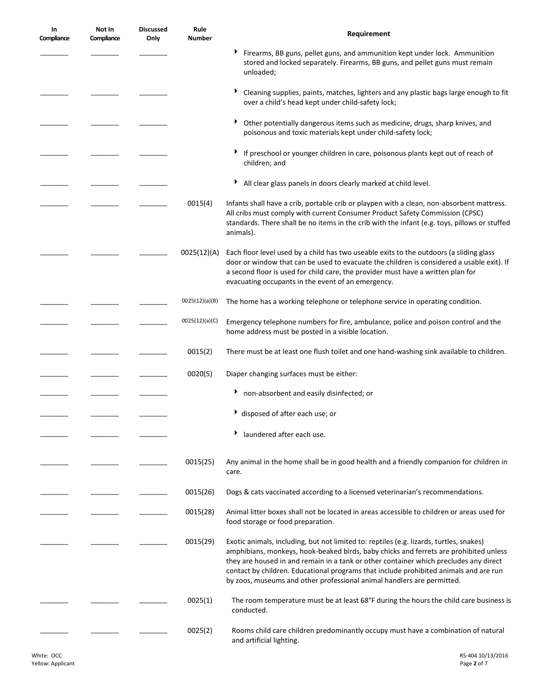| In<br>Compliance | Not In<br>Compliance | <b>Discussed</b><br>Only | Rule<br><b>Number</b> | Requirement                                                                                                                                                                                                                                                                                                                                                                                                                                  |
|------------------|----------------------|--------------------------|-----------------------|----------------------------------------------------------------------------------------------------------------------------------------------------------------------------------------------------------------------------------------------------------------------------------------------------------------------------------------------------------------------------------------------------------------------------------------------|
|                  |                      |                          |                       | Firearms, BB guns, pellet guns, and ammunition kept under lock. Ammunition<br>stored and locked separately. Firearms, BB guns, and pellet guns must remain<br>unloaded;                                                                                                                                                                                                                                                                      |
|                  |                      |                          |                       | Cleaning supplies, paints, matches, lighters and any plastic bags large enough to fit<br>over a child's head kept under child-safety lock;                                                                                                                                                                                                                                                                                                   |
|                  |                      |                          |                       | Other potentially dangerous items such as medicine, drugs, sharp knives, and<br>poisonous and toxic materials kept under child-safety lock;                                                                                                                                                                                                                                                                                                  |
|                  |                      |                          |                       | If preschool or younger children in care, poisonous plants kept out of reach of<br>children; and                                                                                                                                                                                                                                                                                                                                             |
|                  |                      |                          |                       | All clear glass panels in doors clearly marked at child level.                                                                                                                                                                                                                                                                                                                                                                               |
|                  |                      |                          | 0015(4)               | Infants shall have a crib, portable crib or playpen with a clean, non-absorbent mattress.<br>All cribs must comply with current Consumer Product Safety Commission (CPSC)<br>standards. There shall be no items in the crib with the infant (e.g. toys, pillows or stuffed<br>animals).                                                                                                                                                      |
|                  |                      |                          | 0025(12)(A)           | Each floor level used by a child has two useable exits to the outdoors (a sliding glass<br>door or window that can be used to evacuate the children is considered a usable exit). If<br>a second floor is used for child care, the provider must have a written plan for<br>evacuating occupants in the event of an emergency.                                                                                                               |
|                  |                      |                          | 0025(12)(a)(B)        | The home has a working telephone or telephone service in operating condition.                                                                                                                                                                                                                                                                                                                                                                |
|                  |                      |                          | 0025(12)(a)(C)        | Emergency telephone numbers for fire, ambulance, police and poison control and the<br>home address must be posted in a visible location.                                                                                                                                                                                                                                                                                                     |
|                  |                      |                          | 0015(2)               | There must be at least one flush toilet and one hand-washing sink available to children.                                                                                                                                                                                                                                                                                                                                                     |
|                  |                      |                          | 0020(5)               | Diaper changing surfaces must be either:                                                                                                                                                                                                                                                                                                                                                                                                     |
|                  |                      |                          |                       | non-absorbent and easily disinfected; or                                                                                                                                                                                                                                                                                                                                                                                                     |
|                  |                      |                          |                       | ▶ disposed of after each use; or                                                                                                                                                                                                                                                                                                                                                                                                             |
|                  |                      |                          |                       | laundered after each use.                                                                                                                                                                                                                                                                                                                                                                                                                    |
|                  |                      |                          | 0015(25)              | Any animal in the home shall be in good health and a friendly companion for children in<br>care.                                                                                                                                                                                                                                                                                                                                             |
|                  |                      |                          | 0015(26)              | Dogs & cats vaccinated according to a licensed veterinarian's recommendations.                                                                                                                                                                                                                                                                                                                                                               |
|                  |                      |                          | 0015(28)              | Animal litter boxes shall not be located in areas accessible to children or areas used for<br>food storage or food preparation.                                                                                                                                                                                                                                                                                                              |
|                  |                      |                          | 0015(29)              | Exotic animals, including, but not limited to: reptiles (e.g. lizards, turtles, snakes)<br>amphibians, monkeys, hook-beaked birds, baby chicks and ferrets are prohibited unless<br>they are housed in and remain in a tank or other container which precludes any direct<br>contact by children. Educational programs that include prohibited animals and are run<br>by zoos, museums and other professional animal handlers are permitted. |
|                  |                      |                          | 0025(1)               | The room temperature must be at least 68°F during the hours the child care business is<br>conducted.                                                                                                                                                                                                                                                                                                                                         |
|                  |                      |                          | 0025(2)               | Rooms child care children predominantly occupy must have a combination of natural<br>and artificial lighting.                                                                                                                                                                                                                                                                                                                                |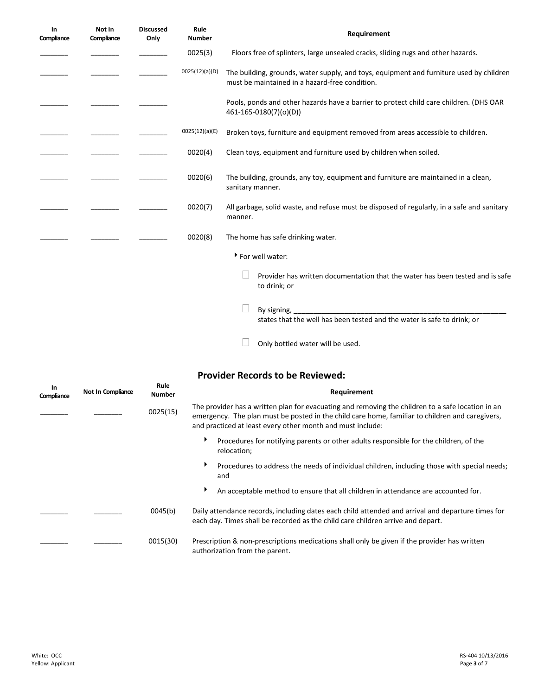| In<br>Compliance | Not In<br>Compliance | <b>Discussed</b><br>Only | Rule<br><b>Number</b> | Requirement                                                                                                                                                                                                                                                                                               |
|------------------|----------------------|--------------------------|-----------------------|-----------------------------------------------------------------------------------------------------------------------------------------------------------------------------------------------------------------------------------------------------------------------------------------------------------|
|                  |                      |                          | 0025(3)               | Floors free of splinters, large unsealed cracks, sliding rugs and other hazards.                                                                                                                                                                                                                          |
|                  |                      |                          | 0025(12)(a)(D)        | The building, grounds, water supply, and toys, equipment and furniture used by children<br>must be maintained in a hazard-free condition.                                                                                                                                                                 |
|                  |                      |                          |                       | Pools, ponds and other hazards have a barrier to protect child care children. (DHS OAR<br>461-165-0180(7)(o)(D))                                                                                                                                                                                          |
|                  |                      |                          | 0025(12)(a)(E)        | Broken toys, furniture and equipment removed from areas accessible to children.                                                                                                                                                                                                                           |
|                  |                      |                          | 0020(4)               | Clean toys, equipment and furniture used by children when soiled.                                                                                                                                                                                                                                         |
|                  |                      |                          | 0020(6)               | The building, grounds, any toy, equipment and furniture are maintained in a clean,<br>sanitary manner.                                                                                                                                                                                                    |
|                  |                      |                          | 0020(7)               | All garbage, solid waste, and refuse must be disposed of regularly, in a safe and sanitary<br>manner.                                                                                                                                                                                                     |
|                  |                      |                          | 0020(8)               | The home has safe drinking water.                                                                                                                                                                                                                                                                         |
|                  |                      |                          |                       | For well water:                                                                                                                                                                                                                                                                                           |
|                  |                      |                          |                       | Provider has written documentation that the water has been tested and is safe<br>to drink; or                                                                                                                                                                                                             |
|                  |                      |                          |                       | By signing, the contract of the contract of the contract of the contract of the contract of the contract of the contract of the contract of the contract of the contract of the contract of the contract of the contract of th<br>states that the well has been tested and the water is safe to drink; or |
|                  |                      |                          |                       | Only bottled water will be used.                                                                                                                                                                                                                                                                          |

## **Provider Records to be Reviewed:**

| In<br>Compliance | Not In Compliance | Rule<br><b>Number</b> | Requirement                                                                                                                                                                                                                                                        |
|------------------|-------------------|-----------------------|--------------------------------------------------------------------------------------------------------------------------------------------------------------------------------------------------------------------------------------------------------------------|
|                  |                   | 0025(15)              | The provider has a written plan for evacuating and removing the children to a safe location in an<br>emergency. The plan must be posted in the child care home, familiar to children and caregivers,<br>and practiced at least every other month and must include: |
|                  |                   |                       | ▶<br>Procedures for notifying parents or other adults responsible for the children, of the<br>relocation;                                                                                                                                                          |
|                  |                   |                       | ▶<br>Procedures to address the needs of individual children, including those with special needs;<br>and                                                                                                                                                            |
|                  |                   |                       | ▶<br>An acceptable method to ensure that all children in attendance are accounted for.                                                                                                                                                                             |
|                  |                   | 0045(b)               | Daily attendance records, including dates each child attended and arrival and departure times for<br>each day. Times shall be recorded as the child care children arrive and depart.                                                                               |
|                  |                   | 0015(30)              | Prescription & non-prescriptions medications shall only be given if the provider has written<br>authorization from the parent.                                                                                                                                     |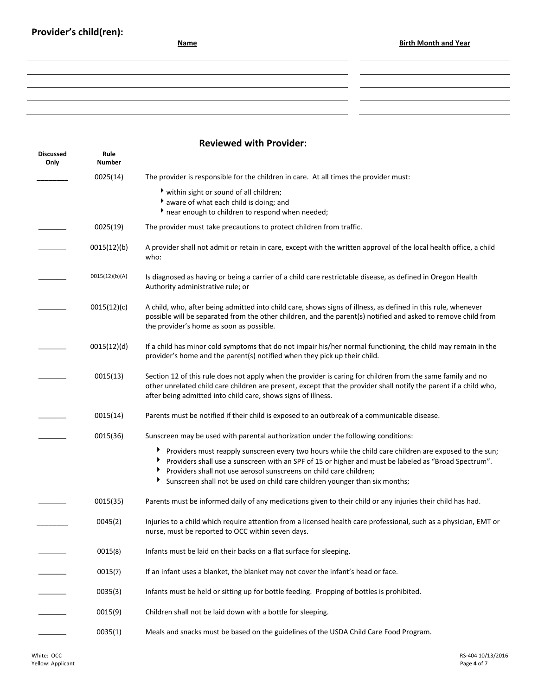### **Reviewed with Provider:**

| <b>Discussed</b><br>Only | Rule<br>Number |                                                                                                                                                                                                                                                                                                                                                                          |
|--------------------------|----------------|--------------------------------------------------------------------------------------------------------------------------------------------------------------------------------------------------------------------------------------------------------------------------------------------------------------------------------------------------------------------------|
|                          | 0025(14)       | The provider is responsible for the children in care. At all times the provider must:                                                                                                                                                                                                                                                                                    |
|                          |                | within sight or sound of all children;<br>aware of what each child is doing; and<br>near enough to children to respond when needed;                                                                                                                                                                                                                                      |
|                          | 0025(19)       | The provider must take precautions to protect children from traffic.                                                                                                                                                                                                                                                                                                     |
|                          | 0015(12)(b)    | A provider shall not admit or retain in care, except with the written approval of the local health office, a child<br>who:                                                                                                                                                                                                                                               |
|                          | 0015(12)(b)(A) | Is diagnosed as having or being a carrier of a child care restrictable disease, as defined in Oregon Health<br>Authority administrative rule; or                                                                                                                                                                                                                         |
|                          | 0015(12)(c)    | A child, who, after being admitted into child care, shows signs of illness, as defined in this rule, whenever<br>possible will be separated from the other children, and the parent(s) notified and asked to remove child from<br>the provider's home as soon as possible.                                                                                               |
|                          | 0015(12)(d)    | If a child has minor cold symptoms that do not impair his/her normal functioning, the child may remain in the<br>provider's home and the parent(s) notified when they pick up their child.                                                                                                                                                                               |
|                          | 0015(13)       | Section 12 of this rule does not apply when the provider is caring for children from the same family and no<br>other unrelated child care children are present, except that the provider shall notify the parent if a child who,<br>after being admitted into child care, shows signs of illness.                                                                        |
|                          | 0015(14)       | Parents must be notified if their child is exposed to an outbreak of a communicable disease.                                                                                                                                                                                                                                                                             |
|                          | 0015(36)       | Sunscreen may be used with parental authorization under the following conditions:                                                                                                                                                                                                                                                                                        |
|                          |                | Providers must reapply sunscreen every two hours while the child care children are exposed to the sun;<br>▸<br>Providers shall use a sunscreen with an SPF of 15 or higher and must be labeled as "Broad Spectrum".<br>Providers shall not use aerosol sunscreens on child care children;<br>Sunscreen shall not be used on child care children younger than six months; |
|                          | 0015(35)       | Parents must be informed daily of any medications given to their child or any injuries their child has had.                                                                                                                                                                                                                                                              |
|                          | 0045(2)        | Injuries to a child which require attention from a licensed health care professional, such as a physician, EMT or<br>nurse, must be reported to OCC within seven days.                                                                                                                                                                                                   |
|                          | 0015(8)        | Infants must be laid on their backs on a flat surface for sleeping.                                                                                                                                                                                                                                                                                                      |
|                          | 0015(7)        | If an infant uses a blanket, the blanket may not cover the infant's head or face.                                                                                                                                                                                                                                                                                        |
|                          | 0035(3)        | Infants must be held or sitting up for bottle feeding. Propping of bottles is prohibited.                                                                                                                                                                                                                                                                                |
|                          | 0015(9)        | Children shall not be laid down with a bottle for sleeping.                                                                                                                                                                                                                                                                                                              |
|                          | 0035(1)        | Meals and snacks must be based on the guidelines of the USDA Child Care Food Program.                                                                                                                                                                                                                                                                                    |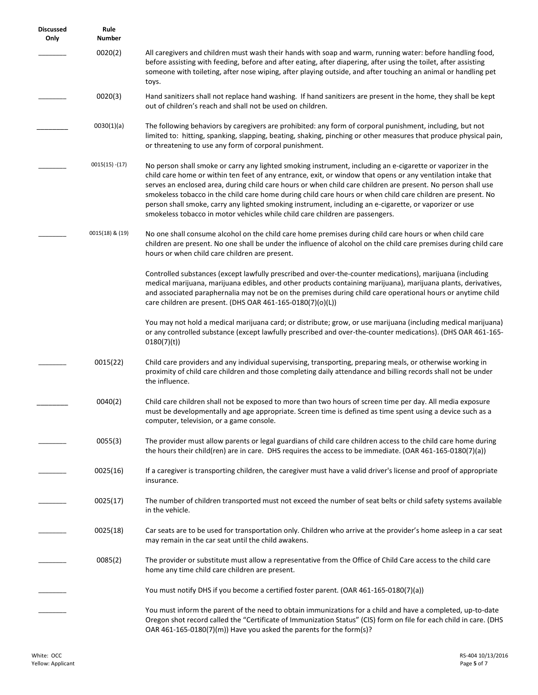| <b>Discussed</b><br>Only | Rule<br><b>Number</b> |                                                                                                                                                                                                                                                                                                                                                                                                                                                                                                                                                                                                                                                           |
|--------------------------|-----------------------|-----------------------------------------------------------------------------------------------------------------------------------------------------------------------------------------------------------------------------------------------------------------------------------------------------------------------------------------------------------------------------------------------------------------------------------------------------------------------------------------------------------------------------------------------------------------------------------------------------------------------------------------------------------|
|                          | 0020(2)               | All caregivers and children must wash their hands with soap and warm, running water: before handling food,<br>before assisting with feeding, before and after eating, after diapering, after using the toilet, after assisting<br>someone with toileting, after nose wiping, after playing outside, and after touching an animal or handling pet<br>toys.                                                                                                                                                                                                                                                                                                 |
|                          | 0020(3)               | Hand sanitizers shall not replace hand washing. If hand sanitizers are present in the home, they shall be kept<br>out of children's reach and shall not be used on children.                                                                                                                                                                                                                                                                                                                                                                                                                                                                              |
|                          | 0030(1)(a)            | The following behaviors by caregivers are prohibited: any form of corporal punishment, including, but not<br>limited to: hitting, spanking, slapping, beating, shaking, pinching or other measures that produce physical pain,<br>or threatening to use any form of corporal punishment.                                                                                                                                                                                                                                                                                                                                                                  |
|                          | $0015(15) - (17)$     | No person shall smoke or carry any lighted smoking instrument, including an e-cigarette or vaporizer in the<br>child care home or within ten feet of any entrance, exit, or window that opens or any ventilation intake that<br>serves an enclosed area, during child care hours or when child care children are present. No person shall use<br>smokeless tobacco in the child care home during child care hours or when child care children are present. No<br>person shall smoke, carry any lighted smoking instrument, including an e-cigarette, or vaporizer or use<br>smokeless tobacco in motor vehicles while child care children are passengers. |
|                          | 0015(18) & (19)       | No one shall consume alcohol on the child care home premises during child care hours or when child care<br>children are present. No one shall be under the influence of alcohol on the child care premises during child care<br>hours or when child care children are present.                                                                                                                                                                                                                                                                                                                                                                            |
|                          |                       | Controlled substances (except lawfully prescribed and over-the-counter medications), marijuana (including<br>medical marijuana, marijuana edibles, and other products containing marijuana), marijuana plants, derivatives,<br>and associated paraphernalia may not be on the premises during child care operational hours or anytime child<br>care children are present. (DHS OAR 461-165-0180(7)(o)(L))                                                                                                                                                                                                                                                 |
|                          |                       | You may not hold a medical marijuana card; or distribute; grow, or use marijuana (including medical marijuana)<br>or any controlled substance (except lawfully prescribed and over-the-counter medications). (DHS OAR 461-165-<br>0180(7)(t)                                                                                                                                                                                                                                                                                                                                                                                                              |
|                          | 0015(22)              | Child care providers and any individual supervising, transporting, preparing meals, or otherwise working in<br>proximity of child care children and those completing daily attendance and billing records shall not be under<br>the influence.                                                                                                                                                                                                                                                                                                                                                                                                            |
|                          | 0040(2)               | Child care children shall not be exposed to more than two hours of screen time per day. All media exposure<br>must be developmentally and age appropriate. Screen time is defined as time spent using a device such as a<br>computer, television, or a game console.                                                                                                                                                                                                                                                                                                                                                                                      |
|                          | 0055(3)               | The provider must allow parents or legal guardians of child care children access to the child care home during<br>the hours their child(ren) are in care. DHS requires the access to be immediate. (OAR 461-165-0180(7)(a))                                                                                                                                                                                                                                                                                                                                                                                                                               |
|                          | 0025(16)              | If a caregiver is transporting children, the caregiver must have a valid driver's license and proof of appropriate<br>insurance.                                                                                                                                                                                                                                                                                                                                                                                                                                                                                                                          |
|                          | 0025(17)              | The number of children transported must not exceed the number of seat belts or child safety systems available<br>in the vehicle.                                                                                                                                                                                                                                                                                                                                                                                                                                                                                                                          |
|                          | 0025(18)              | Car seats are to be used for transportation only. Children who arrive at the provider's home asleep in a car seat<br>may remain in the car seat until the child awakens.                                                                                                                                                                                                                                                                                                                                                                                                                                                                                  |
|                          | 0085(2)               | The provider or substitute must allow a representative from the Office of Child Care access to the child care<br>home any time child care children are present.                                                                                                                                                                                                                                                                                                                                                                                                                                                                                           |
|                          |                       | You must notify DHS if you become a certified foster parent. (OAR 461-165-0180(7)(a))                                                                                                                                                                                                                                                                                                                                                                                                                                                                                                                                                                     |
|                          |                       | You must inform the parent of the need to obtain immunizations for a child and have a completed, up-to-date<br>Oregon shot record called the "Certificate of Immunization Status" (CIS) form on file for each child in care. (DHS<br>OAR 461-165-0180(7)(m)) Have you asked the parents for the form(s)?                                                                                                                                                                                                                                                                                                                                                  |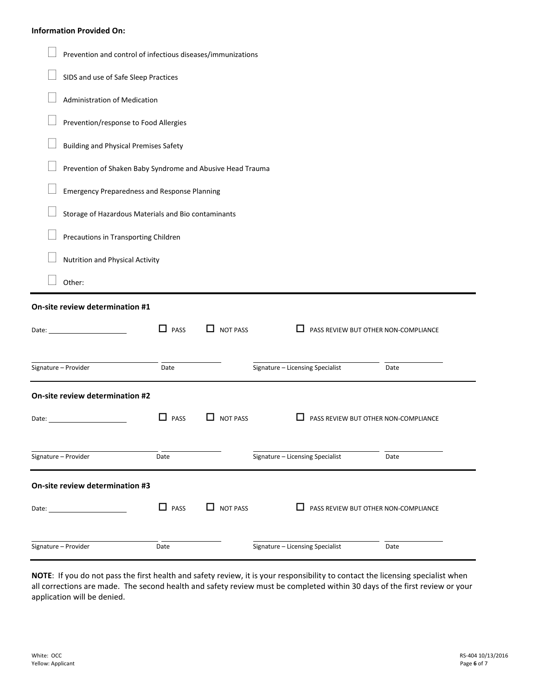#### **Information Provided On:**

|              | Prevention and control of infectious diseases/immunizations |             |                 |                                           |      |  |  |  |  |
|--------------|-------------------------------------------------------------|-------------|-----------------|-------------------------------------------|------|--|--|--|--|
|              | SIDS and use of Safe Sleep Practices                        |             |                 |                                           |      |  |  |  |  |
|              | Administration of Medication                                |             |                 |                                           |      |  |  |  |  |
|              | Prevention/response to Food Allergies                       |             |                 |                                           |      |  |  |  |  |
|              | <b>Building and Physical Premises Safety</b>                |             |                 |                                           |      |  |  |  |  |
|              | Prevention of Shaken Baby Syndrome and Abusive Head Trauma  |             |                 |                                           |      |  |  |  |  |
|              | <b>Emergency Preparedness and Response Planning</b>         |             |                 |                                           |      |  |  |  |  |
|              | Storage of Hazardous Materials and Bio contaminants         |             |                 |                                           |      |  |  |  |  |
|              | Precautions in Transporting Children                        |             |                 |                                           |      |  |  |  |  |
|              | <b>Nutrition and Physical Activity</b>                      |             |                 |                                           |      |  |  |  |  |
|              | Other:                                                      |             |                 |                                           |      |  |  |  |  |
|              | On-site review determination #1                             |             |                 |                                           |      |  |  |  |  |
| Date: $\_\_$ |                                                             | $\Box$ PASS | <b>NOT PASS</b> | ப<br>PASS REVIEW BUT OTHER NON-COMPLIANCE |      |  |  |  |  |
|              | Signature - Provider                                        | Date        |                 | Signature - Licensing Specialist          | Date |  |  |  |  |
|              | On-site review determination #2                             |             |                 |                                           |      |  |  |  |  |
|              |                                                             |             |                 |                                           |      |  |  |  |  |
| Date:        |                                                             | LΙ<br>PASS  | <b>NOT PASS</b> | PASS REVIEW BUT OTHER NON-COMPLIANCE      |      |  |  |  |  |
|              | Signature - Provider                                        | Date        |                 | Signature - Licensing Specialist          | Date |  |  |  |  |
|              | On-site review determination #3                             |             |                 |                                           |      |  |  |  |  |
| Date: $\_\_$ |                                                             | $\Box$ PASS | $\Box$ NOT PASS | PASS REVIEW BUT OTHER NON-COMPLIANCE      |      |  |  |  |  |

**NOTE**: If you do not pass the first health and safety review, it is your responsibility to contact the licensing specialist when all corrections are made. The second health and safety review must be completed within 30 days of the first review or your application will be denied.